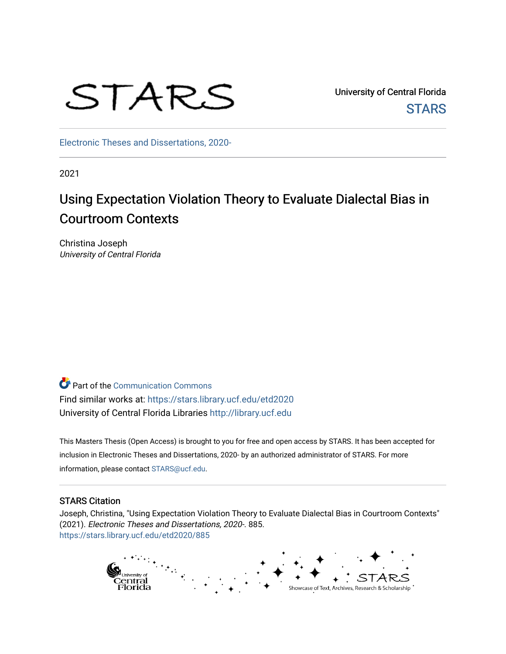# STARS

University of Central Florida **STARS** 

[Electronic Theses and Dissertations, 2020-](https://stars.library.ucf.edu/etd2020) 

2021

# Using Expectation Violation Theory to Evaluate Dialectal Bias in Courtroom Contexts

Christina Joseph University of Central Florida

Part of the [Communication Commons](https://network.bepress.com/hgg/discipline/325?utm_source=stars.library.ucf.edu%2Fetd2020%2F885&utm_medium=PDF&utm_campaign=PDFCoverPages)  Find similar works at: <https://stars.library.ucf.edu/etd2020> University of Central Florida Libraries [http://library.ucf.edu](http://library.ucf.edu/) 

This Masters Thesis (Open Access) is brought to you for free and open access by STARS. It has been accepted for inclusion in Electronic Theses and Dissertations, 2020- by an authorized administrator of STARS. For more information, please contact [STARS@ucf.edu.](mailto:STARS@ucf.edu)

#### STARS Citation

Joseph, Christina, "Using Expectation Violation Theory to Evaluate Dialectal Bias in Courtroom Contexts" (2021). Electronic Theses and Dissertations, 2020-. 885. [https://stars.library.ucf.edu/etd2020/885](https://stars.library.ucf.edu/etd2020/885?utm_source=stars.library.ucf.edu%2Fetd2020%2F885&utm_medium=PDF&utm_campaign=PDFCoverPages) 

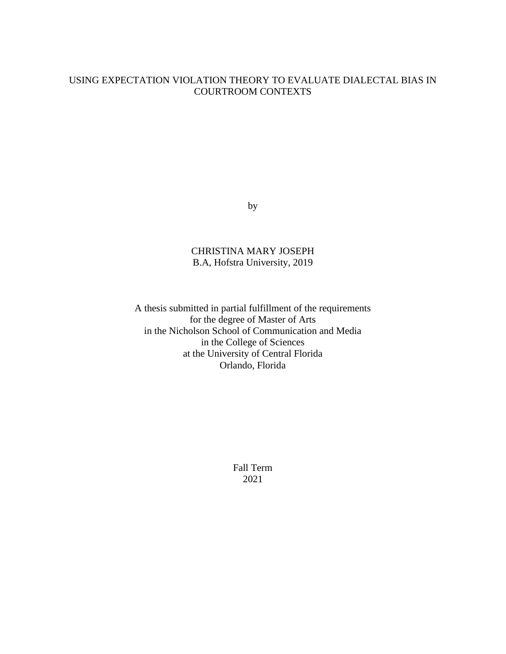#### USING EXPECTATION VIOLATION THEORY TO EVALUATE DIALECTAL BIAS IN COURTROOM CONTEXTS

by

#### CHRISTINA MARY JOSEPH B.A, Hofstra University, 2019

A thesis submitted in partial fulfillment of the requirements for the degree of Master of Arts in the Nicholson School of Communication and Media in the College of Sciences at the University of Central Florida Orlando, Florida

> Fall Term 2021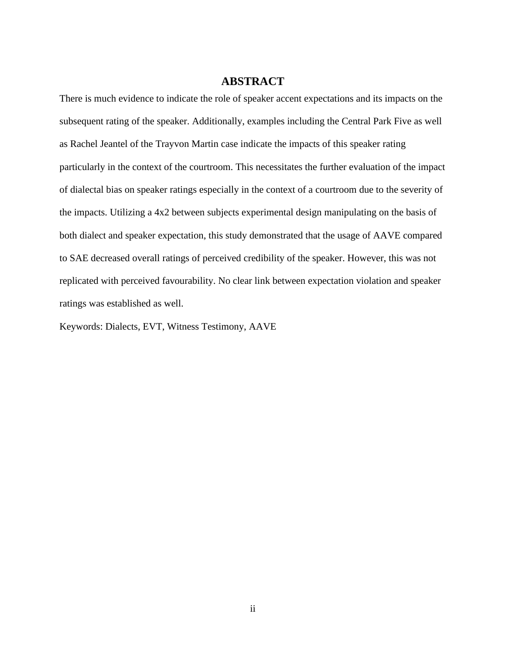#### **ABSTRACT**

There is much evidence to indicate the role of speaker accent expectations and its impacts on the subsequent rating of the speaker. Additionally, examples including the Central Park Five as well as Rachel Jeantel of the Trayvon Martin case indicate the impacts of this speaker rating particularly in the context of the courtroom. This necessitates the further evaluation of the impact of dialectal bias on speaker ratings especially in the context of a courtroom due to the severity of the impacts. Utilizing a 4x2 between subjects experimental design manipulating on the basis of both dialect and speaker expectation, this study demonstrated that the usage of AAVE compared to SAE decreased overall ratings of perceived credibility of the speaker. However, this was not replicated with perceived favourability. No clear link between expectation violation and speaker ratings was established as well.

Keywords: Dialects, EVT, Witness Testimony, AAVE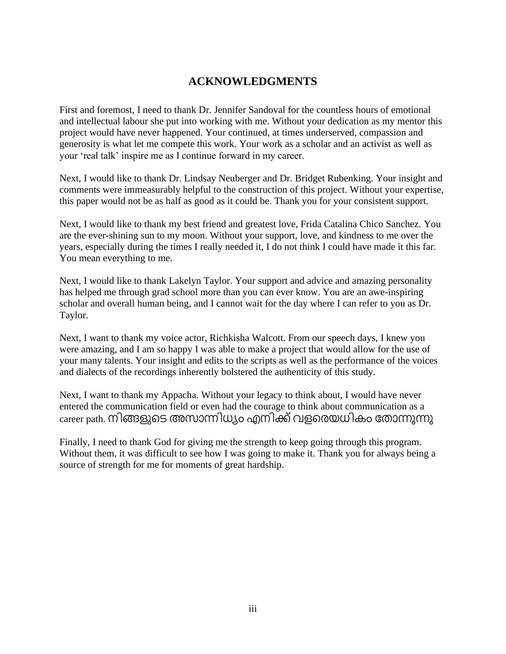## **ACKNOWLEDGMENTS**

First and foremost, I need to thank Dr. Jennifer Sandoval for the countless hours of emotional and intellectual labour she put into working with me. Without your dedication as my mentor this project would have never happened. Your continued, at times underserved, compassion and generosity is what let me compete this work. Your work as a scholar and an activist as well as your 'real talk' inspire me as I continue forward in my career.

Next, I would like to thank Dr. Lindsay Neuberger and Dr. Bridget Rubenking. Your insight and comments were immeasurably helpful to the construction of this project. Without your expertise, this paper would not be as half as good as it could be. Thank you for your consistent support.

Next, I would like to thank my best friend and greatest love, Frida Catalina Chico Sanchez. You are the ever-shining sun to my moon. Without your support, love, and kindness to me over the years, especially during the times I really needed it, I do not think I could have made it this far. You mean everything to me.

Next, I would like to thank Lakelyn Taylor. Your support and advice and amazing personality has helped me through grad school more than you can ever know. You are an awe-inspiring scholar and overall human being, and I cannot wait for the day where I can refer to you as Dr. Taylor.

Next, I want to thank my voice actor, Richkisha Walcott. From our speech days, I knew you were amazing, and I am so happy I was able to make a project that would allow for the use of your many talents. Your insight and edits to the scripts as well as the performance of the voices and dialects of the recordings inherently bolstered the authenticity of this study.

Next, I want to thank my Appacha. Without your legacy to think about, I would have never entered the communication field or even had the courage to think about communication as a career path. നിങ്ങളുടെ അസാന്നിധ്യം എനിക്ക് വളരെയധികം തോന്നുന്നു

Finally, I need to thank God for giving me the strength to keep going through this program. Without them, it was difficult to see how I was going to make it. Thank you for always being a source of strength for me for moments of great hardship.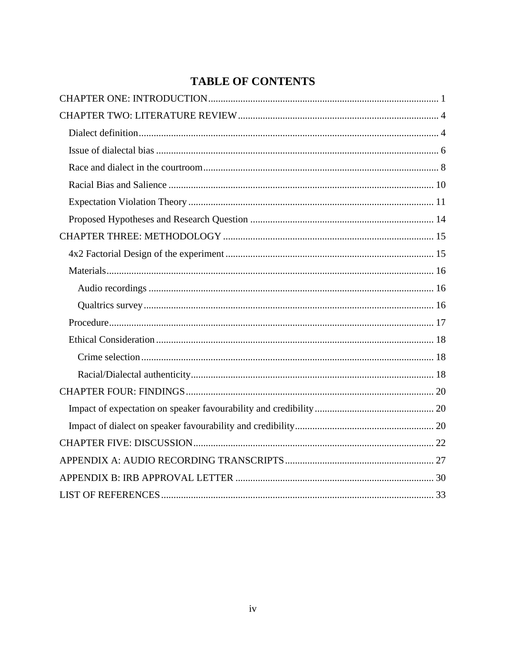## **TABLE OF CONTENTS**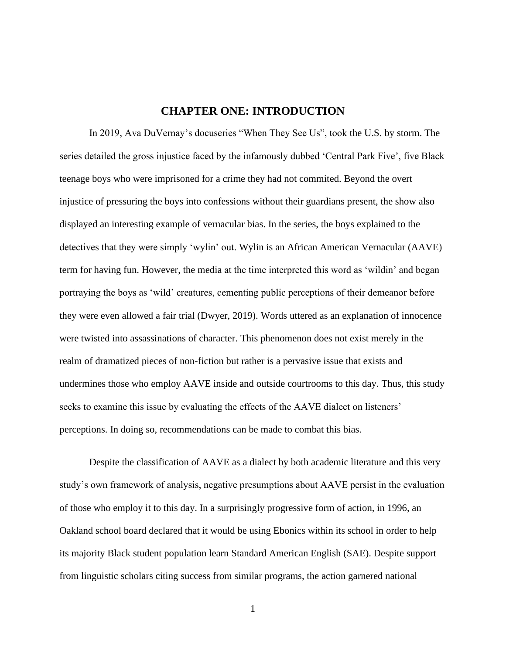#### **CHAPTER ONE: INTRODUCTION**

<span id="page-5-0"></span>In 2019, Ava DuVernay's docuseries "When They See Us", took the U.S. by storm. The series detailed the gross injustice faced by the infamously dubbed 'Central Park Five', five Black teenage boys who were imprisoned for a crime they had not commited. Beyond the overt injustice of pressuring the boys into confessions without their guardians present, the show also displayed an interesting example of vernacular bias. In the series, the boys explained to the detectives that they were simply 'wylin' out. Wylin is an African American Vernacular (AAVE) term for having fun. However, the media at the time interpreted this word as 'wildin' and began portraying the boys as 'wild' creatures, cementing public perceptions of their demeanor before they were even allowed a fair trial (Dwyer, 2019). Words uttered as an explanation of innocence were twisted into assassinations of character. This phenomenon does not exist merely in the realm of dramatized pieces of non-fiction but rather is a pervasive issue that exists and undermines those who employ AAVE inside and outside courtrooms to this day. Thus, this study seeks to examine this issue by evaluating the effects of the AAVE dialect on listeners' perceptions. In doing so, recommendations can be made to combat this bias.

Despite the classification of AAVE as a dialect by both academic literature and this very study's own framework of analysis, negative presumptions about AAVE persist in the evaluation of those who employ it to this day. In a surprisingly progressive form of action, in 1996, an Oakland school board declared that it would be using Ebonics within its school in order to help its majority Black student population learn Standard American English (SAE). Despite support from linguistic scholars citing success from similar programs, the action garnered national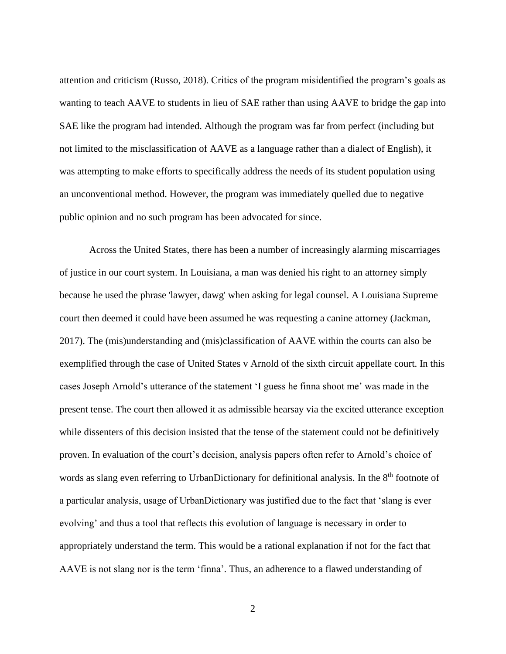attention and criticism (Russo, 2018). Critics of the program misidentified the program's goals as wanting to teach AAVE to students in lieu of SAE rather than using AAVE to bridge the gap into SAE like the program had intended. Although the program was far from perfect (including but not limited to the misclassification of AAVE as a language rather than a dialect of English), it was attempting to make efforts to specifically address the needs of its student population using an unconventional method. However, the program was immediately quelled due to negative public opinion and no such program has been advocated for since.

Across the United States, there has been a number of increasingly alarming miscarriages of justice in our court system. In Louisiana, a man was denied his right to an attorney simply because he used the phrase 'lawyer, dawg' when asking for legal counsel. A Louisiana Supreme court then deemed it could have been assumed he was requesting a canine attorney (Jackman, 2017). The (mis)understanding and (mis)classification of AAVE within the courts can also be exemplified through the case of United States v Arnold of the sixth circuit appellate court. In this cases Joseph Arnold's utterance of the statement 'I guess he finna shoot me' was made in the present tense. The court then allowed it as admissible hearsay via the excited utterance exception while dissenters of this decision insisted that the tense of the statement could not be definitively proven. In evaluation of the court's decision, analysis papers often refer to Arnold's choice of words as slang even referring to UrbanDictionary for definitional analysis. In the 8<sup>th</sup> footnote of a particular analysis, usage of UrbanDictionary was justified due to the fact that 'slang is ever evolving' and thus a tool that reflects this evolution of language is necessary in order to appropriately understand the term. This would be a rational explanation if not for the fact that AAVE is not slang nor is the term 'finna'. Thus, an adherence to a flawed understanding of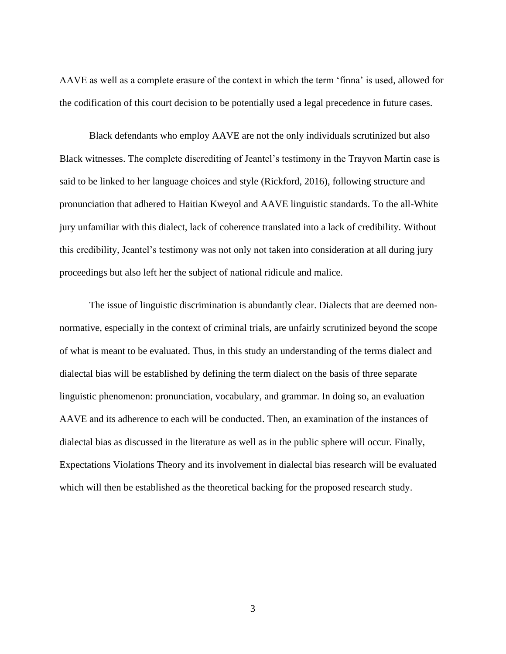AAVE as well as a complete erasure of the context in which the term 'finna' is used, allowed for the codification of this court decision to be potentially used a legal precedence in future cases.

Black defendants who employ AAVE are not the only individuals scrutinized but also Black witnesses. The complete discrediting of Jeantel's testimony in the Trayvon Martin case is said to be linked to her language choices and style (Rickford, 2016), following structure and pronunciation that adhered to Haitian Kweyol and AAVE linguistic standards. To the all-White jury unfamiliar with this dialect, lack of coherence translated into a lack of credibility. Without this credibility, Jeantel's testimony was not only not taken into consideration at all during jury proceedings but also left her the subject of national ridicule and malice.

The issue of linguistic discrimination is abundantly clear. Dialects that are deemed nonnormative, especially in the context of criminal trials, are unfairly scrutinized beyond the scope of what is meant to be evaluated. Thus, in this study an understanding of the terms dialect and dialectal bias will be established by defining the term dialect on the basis of three separate linguistic phenomenon: pronunciation, vocabulary, and grammar. In doing so, an evaluation AAVE and its adherence to each will be conducted. Then, an examination of the instances of dialectal bias as discussed in the literature as well as in the public sphere will occur. Finally, Expectations Violations Theory and its involvement in dialectal bias research will be evaluated which will then be established as the theoretical backing for the proposed research study.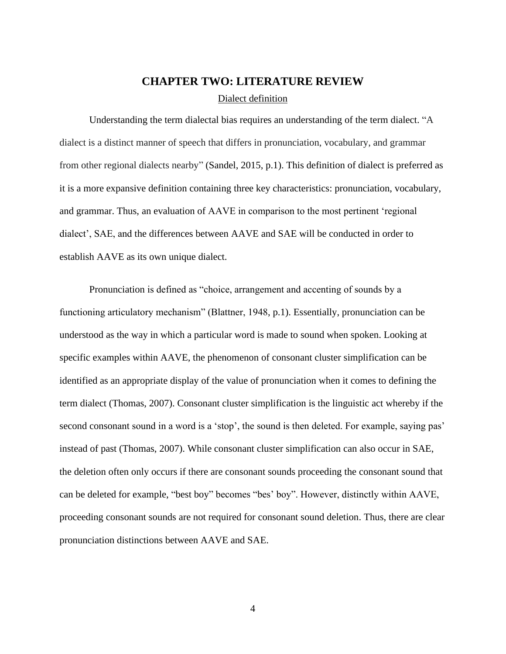### **CHAPTER TWO: LITERATURE REVIEW**

#### Dialect definition

<span id="page-8-1"></span><span id="page-8-0"></span>Understanding the term dialectal bias requires an understanding of the term dialect. "A dialect is a distinct manner of speech that differs in pronunciation, vocabulary, and grammar from other regional dialects nearby" (Sandel, 2015, p.1). This definition of dialect is preferred as it is a more expansive definition containing three key characteristics: pronunciation, vocabulary, and grammar. Thus, an evaluation of AAVE in comparison to the most pertinent 'regional dialect', SAE, and the differences between AAVE and SAE will be conducted in order to establish AAVE as its own unique dialect.

Pronunciation is defined as "choice, arrangement and accenting of sounds by a functioning articulatory mechanism" (Blattner, 1948, p.1). Essentially, pronunciation can be understood as the way in which a particular word is made to sound when spoken. Looking at specific examples within AAVE, the phenomenon of consonant cluster simplification can be identified as an appropriate display of the value of pronunciation when it comes to defining the term dialect (Thomas, 2007). Consonant cluster simplification is the linguistic act whereby if the second consonant sound in a word is a 'stop', the sound is then deleted. For example, saying pas' instead of past (Thomas, 2007). While consonant cluster simplification can also occur in SAE, the deletion often only occurs if there are consonant sounds proceeding the consonant sound that can be deleted for example, "best boy" becomes "bes' boy". However, distinctly within AAVE, proceeding consonant sounds are not required for consonant sound deletion. Thus, there are clear pronunciation distinctions between AAVE and SAE.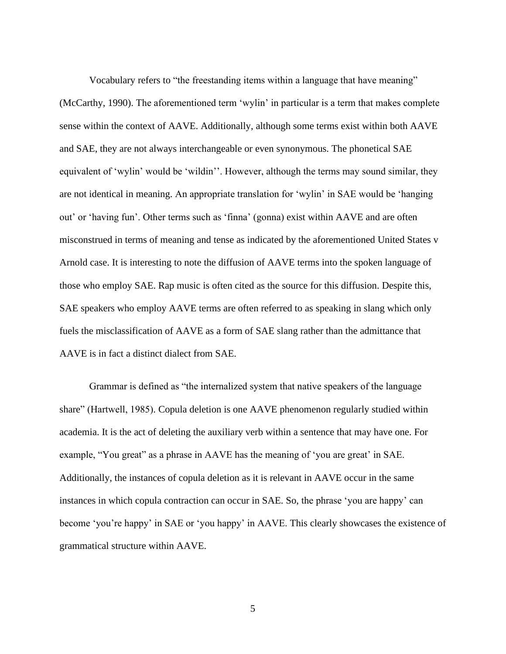Vocabulary refers to "the freestanding items within a language that have meaning" (McCarthy, 1990). The aforementioned term 'wylin' in particular is a term that makes complete sense within the context of AAVE. Additionally, although some terms exist within both AAVE and SAE, they are not always interchangeable or even synonymous. The phonetical SAE equivalent of 'wylin' would be 'wildin''. However, although the terms may sound similar, they are not identical in meaning. An appropriate translation for 'wylin' in SAE would be 'hanging out' or 'having fun'. Other terms such as 'finna' (gonna) exist within AAVE and are often misconstrued in terms of meaning and tense as indicated by the aforementioned United States v Arnold case. It is interesting to note the diffusion of AAVE terms into the spoken language of those who employ SAE. Rap music is often cited as the source for this diffusion. Despite this, SAE speakers who employ AAVE terms are often referred to as speaking in slang which only fuels the misclassification of AAVE as a form of SAE slang rather than the admittance that AAVE is in fact a distinct dialect from SAE.

Grammar is defined as "the internalized system that native speakers of the language share" (Hartwell, 1985). Copula deletion is one AAVE phenomenon regularly studied within academia. It is the act of deleting the auxiliary verb within a sentence that may have one. For example, "You great" as a phrase in AAVE has the meaning of 'you are great' in SAE. Additionally, the instances of copula deletion as it is relevant in AAVE occur in the same instances in which copula contraction can occur in SAE. So, the phrase 'you are happy' can become 'you're happy' in SAE or 'you happy' in AAVE. This clearly showcases the existence of grammatical structure within AAVE.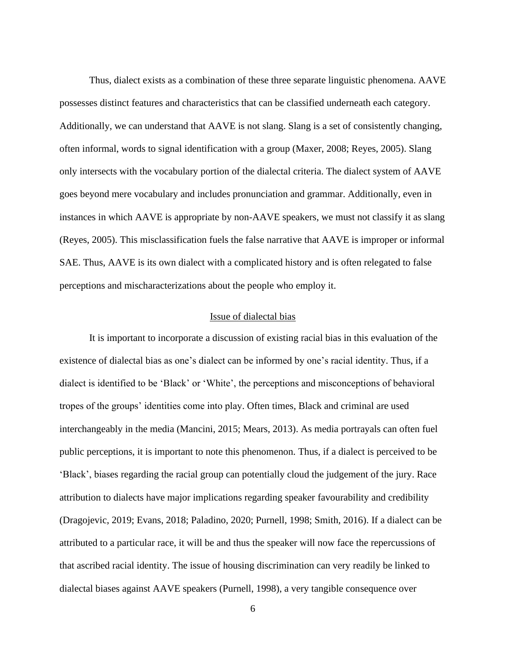Thus, dialect exists as a combination of these three separate linguistic phenomena. AAVE possesses distinct features and characteristics that can be classified underneath each category. Additionally, we can understand that AAVE is not slang. Slang is a set of consistently changing, often informal, words to signal identification with a group (Maxer, 2008; Reyes, 2005). Slang only intersects with the vocabulary portion of the dialectal criteria. The dialect system of AAVE goes beyond mere vocabulary and includes pronunciation and grammar. Additionally, even in instances in which AAVE is appropriate by non-AAVE speakers, we must not classify it as slang (Reyes, 2005). This misclassification fuels the false narrative that AAVE is improper or informal SAE. Thus, AAVE is its own dialect with a complicated history and is often relegated to false perceptions and mischaracterizations about the people who employ it.

#### Issue of dialectal bias

<span id="page-10-0"></span>It is important to incorporate a discussion of existing racial bias in this evaluation of the existence of dialectal bias as one's dialect can be informed by one's racial identity. Thus, if a dialect is identified to be 'Black' or 'White', the perceptions and misconceptions of behavioral tropes of the groups' identities come into play. Often times, Black and criminal are used interchangeably in the media (Mancini, 2015; Mears, 2013). As media portrayals can often fuel public perceptions, it is important to note this phenomenon. Thus, if a dialect is perceived to be 'Black', biases regarding the racial group can potentially cloud the judgement of the jury. Race attribution to dialects have major implications regarding speaker favourability and credibility (Dragojevic, 2019; Evans, 2018; Paladino, 2020; Purnell, 1998; Smith, 2016). If a dialect can be attributed to a particular race, it will be and thus the speaker will now face the repercussions of that ascribed racial identity. The issue of housing discrimination can very readily be linked to dialectal biases against AAVE speakers (Purnell, 1998), a very tangible consequence over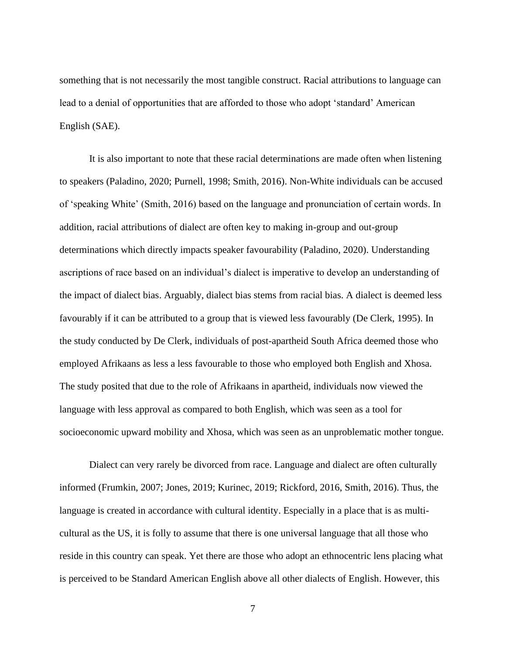something that is not necessarily the most tangible construct. Racial attributions to language can lead to a denial of opportunities that are afforded to those who adopt 'standard' American English (SAE).

It is also important to note that these racial determinations are made often when listening to speakers (Paladino, 2020; Purnell, 1998; Smith, 2016). Non-White individuals can be accused of 'speaking White' (Smith, 2016) based on the language and pronunciation of certain words. In addition, racial attributions of dialect are often key to making in-group and out-group determinations which directly impacts speaker favourability (Paladino, 2020). Understanding ascriptions of race based on an individual's dialect is imperative to develop an understanding of the impact of dialect bias. Arguably, dialect bias stems from racial bias. A dialect is deemed less favourably if it can be attributed to a group that is viewed less favourably (De Clerk, 1995). In the study conducted by De Clerk, individuals of post-apartheid South Africa deemed those who employed Afrikaans as less a less favourable to those who employed both English and Xhosa. The study posited that due to the role of Afrikaans in apartheid, individuals now viewed the language with less approval as compared to both English, which was seen as a tool for socioeconomic upward mobility and Xhosa, which was seen as an unproblematic mother tongue.

Dialect can very rarely be divorced from race. Language and dialect are often culturally informed (Frumkin, 2007; Jones, 2019; Kurinec, 2019; Rickford, 2016, Smith, 2016). Thus, the language is created in accordance with cultural identity. Especially in a place that is as multicultural as the US, it is folly to assume that there is one universal language that all those who reside in this country can speak. Yet there are those who adopt an ethnocentric lens placing what is perceived to be Standard American English above all other dialects of English. However, this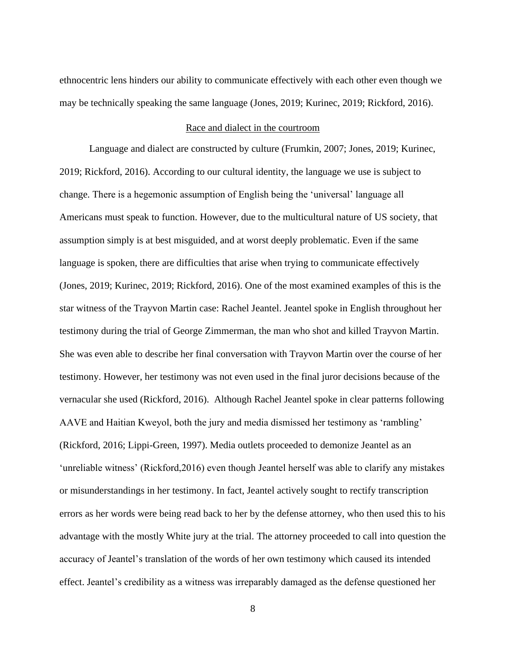ethnocentric lens hinders our ability to communicate effectively with each other even though we may be technically speaking the same language (Jones, 2019; Kurinec, 2019; Rickford, 2016).

#### Race and dialect in the courtroom

<span id="page-12-0"></span>Language and dialect are constructed by culture (Frumkin, 2007; Jones, 2019; Kurinec, 2019; Rickford, 2016). According to our cultural identity, the language we use is subject to change. There is a hegemonic assumption of English being the 'universal' language all Americans must speak to function. However, due to the multicultural nature of US society, that assumption simply is at best misguided, and at worst deeply problematic. Even if the same language is spoken, there are difficulties that arise when trying to communicate effectively (Jones, 2019; Kurinec, 2019; Rickford, 2016). One of the most examined examples of this is the star witness of the Trayvon Martin case: Rachel Jeantel. Jeantel spoke in English throughout her testimony during the trial of George Zimmerman, the man who shot and killed Trayvon Martin. She was even able to describe her final conversation with Trayvon Martin over the course of her testimony. However, her testimony was not even used in the final juror decisions because of the vernacular she used (Rickford, 2016). Although Rachel Jeantel spoke in clear patterns following AAVE and Haitian Kweyol, both the jury and media dismissed her testimony as 'rambling' (Rickford, 2016; Lippi-Green, 1997). Media outlets proceeded to demonize Jeantel as an 'unreliable witness' (Rickford,2016) even though Jeantel herself was able to clarify any mistakes or misunderstandings in her testimony. In fact, Jeantel actively sought to rectify transcription errors as her words were being read back to her by the defense attorney, who then used this to his advantage with the mostly White jury at the trial. The attorney proceeded to call into question the accuracy of Jeantel's translation of the words of her own testimony which caused its intended effect. Jeantel's credibility as a witness was irreparably damaged as the defense questioned her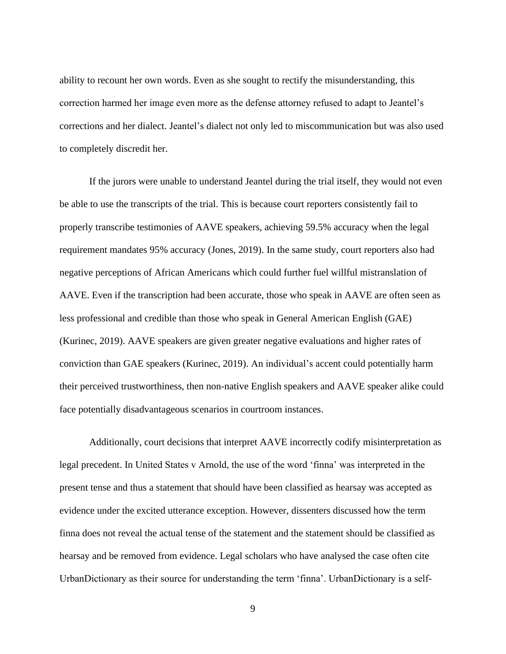ability to recount her own words. Even as she sought to rectify the misunderstanding, this correction harmed her image even more as the defense attorney refused to adapt to Jeantel's corrections and her dialect. Jeantel's dialect not only led to miscommunication but was also used to completely discredit her.

If the jurors were unable to understand Jeantel during the trial itself, they would not even be able to use the transcripts of the trial. This is because court reporters consistently fail to properly transcribe testimonies of AAVE speakers, achieving 59.5% accuracy when the legal requirement mandates 95% accuracy (Jones, 2019). In the same study, court reporters also had negative perceptions of African Americans which could further fuel willful mistranslation of AAVE. Even if the transcription had been accurate, those who speak in AAVE are often seen as less professional and credible than those who speak in General American English (GAE) (Kurinec, 2019). AAVE speakers are given greater negative evaluations and higher rates of conviction than GAE speakers (Kurinec, 2019). An individual's accent could potentially harm their perceived trustworthiness, then non-native English speakers and AAVE speaker alike could face potentially disadvantageous scenarios in courtroom instances.

Additionally, court decisions that interpret AAVE incorrectly codify misinterpretation as legal precedent. In United States v Arnold, the use of the word 'finna' was interpreted in the present tense and thus a statement that should have been classified as hearsay was accepted as evidence under the excited utterance exception. However, dissenters discussed how the term finna does not reveal the actual tense of the statement and the statement should be classified as hearsay and be removed from evidence. Legal scholars who have analysed the case often cite UrbanDictionary as their source for understanding the term 'finna'. UrbanDictionary is a self-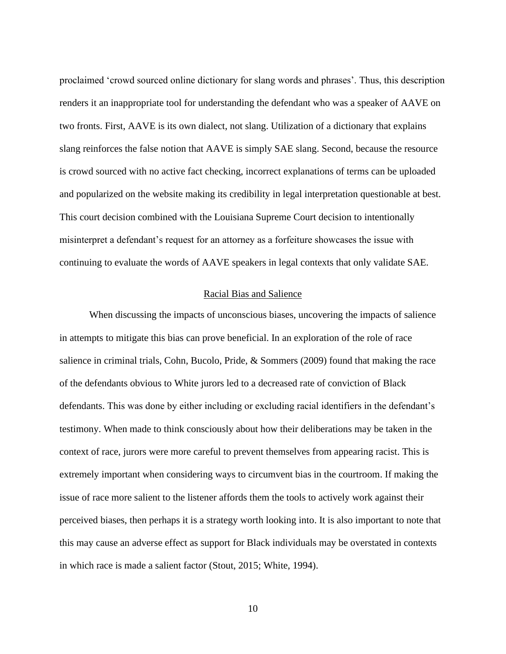proclaimed 'crowd sourced online dictionary for slang words and phrases'. Thus, this description renders it an inappropriate tool for understanding the defendant who was a speaker of AAVE on two fronts. First, AAVE is its own dialect, not slang. Utilization of a dictionary that explains slang reinforces the false notion that AAVE is simply SAE slang. Second, because the resource is crowd sourced with no active fact checking, incorrect explanations of terms can be uploaded and popularized on the website making its credibility in legal interpretation questionable at best. This court decision combined with the Louisiana Supreme Court decision to intentionally misinterpret a defendant's request for an attorney as a forfeiture showcases the issue with continuing to evaluate the words of AAVE speakers in legal contexts that only validate SAE.

#### Racial Bias and Salience

<span id="page-14-0"></span>When discussing the impacts of unconscious biases, uncovering the impacts of salience in attempts to mitigate this bias can prove beneficial. In an exploration of the role of race salience in criminal trials, Cohn, Bucolo, Pride, & Sommers (2009) found that making the race of the defendants obvious to White jurors led to a decreased rate of conviction of Black defendants. This was done by either including or excluding racial identifiers in the defendant's testimony. When made to think consciously about how their deliberations may be taken in the context of race, jurors were more careful to prevent themselves from appearing racist. This is extremely important when considering ways to circumvent bias in the courtroom. If making the issue of race more salient to the listener affords them the tools to actively work against their perceived biases, then perhaps it is a strategy worth looking into. It is also important to note that this may cause an adverse effect as support for Black individuals may be overstated in contexts in which race is made a salient factor (Stout, 2015; White, 1994).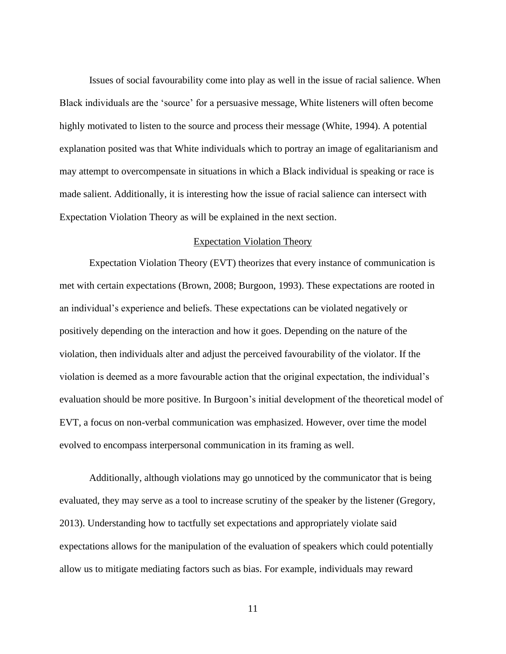Issues of social favourability come into play as well in the issue of racial salience. When Black individuals are the 'source' for a persuasive message, White listeners will often become highly motivated to listen to the source and process their message (White, 1994). A potential explanation posited was that White individuals which to portray an image of egalitarianism and may attempt to overcompensate in situations in which a Black individual is speaking or race is made salient. Additionally, it is interesting how the issue of racial salience can intersect with Expectation Violation Theory as will be explained in the next section.

#### Expectation Violation Theory

<span id="page-15-0"></span>Expectation Violation Theory (EVT) theorizes that every instance of communication is met with certain expectations (Brown, 2008; Burgoon, 1993). These expectations are rooted in an individual's experience and beliefs. These expectations can be violated negatively or positively depending on the interaction and how it goes. Depending on the nature of the violation, then individuals alter and adjust the perceived favourability of the violator. If the violation is deemed as a more favourable action that the original expectation, the individual's evaluation should be more positive. In Burgoon's initial development of the theoretical model of EVT, a focus on non-verbal communication was emphasized. However, over time the model evolved to encompass interpersonal communication in its framing as well.

Additionally, although violations may go unnoticed by the communicator that is being evaluated, they may serve as a tool to increase scrutiny of the speaker by the listener (Gregory, 2013). Understanding how to tactfully set expectations and appropriately violate said expectations allows for the manipulation of the evaluation of speakers which could potentially allow us to mitigate mediating factors such as bias. For example, individuals may reward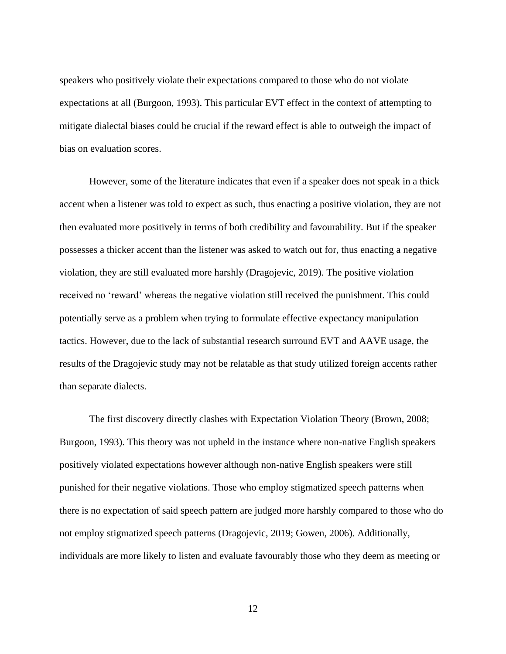speakers who positively violate their expectations compared to those who do not violate expectations at all (Burgoon, 1993). This particular EVT effect in the context of attempting to mitigate dialectal biases could be crucial if the reward effect is able to outweigh the impact of bias on evaluation scores.

However, some of the literature indicates that even if a speaker does not speak in a thick accent when a listener was told to expect as such, thus enacting a positive violation, they are not then evaluated more positively in terms of both credibility and favourability. But if the speaker possesses a thicker accent than the listener was asked to watch out for, thus enacting a negative violation, they are still evaluated more harshly (Dragojevic, 2019). The positive violation received no 'reward' whereas the negative violation still received the punishment. This could potentially serve as a problem when trying to formulate effective expectancy manipulation tactics. However, due to the lack of substantial research surround EVT and AAVE usage, the results of the Dragojevic study may not be relatable as that study utilized foreign accents rather than separate dialects.

The first discovery directly clashes with Expectation Violation Theory (Brown, 2008; Burgoon, 1993). This theory was not upheld in the instance where non-native English speakers positively violated expectations however although non-native English speakers were still punished for their negative violations. Those who employ stigmatized speech patterns when there is no expectation of said speech pattern are judged more harshly compared to those who do not employ stigmatized speech patterns (Dragojevic, 2019; Gowen, 2006). Additionally, individuals are more likely to listen and evaluate favourably those who they deem as meeting or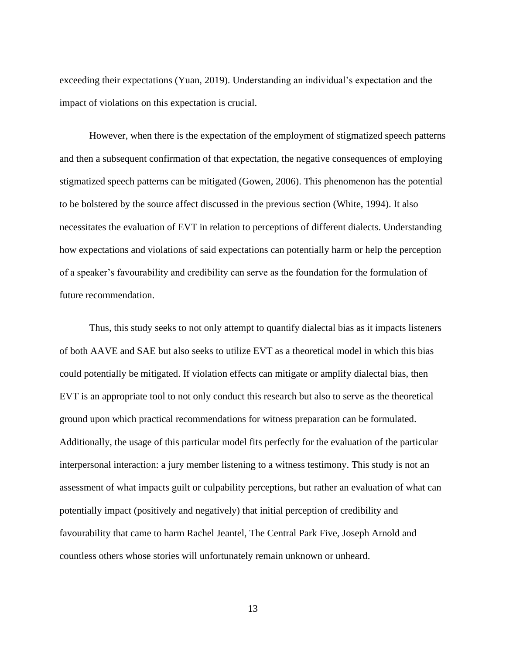exceeding their expectations (Yuan, 2019). Understanding an individual's expectation and the impact of violations on this expectation is crucial.

However, when there is the expectation of the employment of stigmatized speech patterns and then a subsequent confirmation of that expectation, the negative consequences of employing stigmatized speech patterns can be mitigated (Gowen, 2006). This phenomenon has the potential to be bolstered by the source affect discussed in the previous section (White, 1994). It also necessitates the evaluation of EVT in relation to perceptions of different dialects. Understanding how expectations and violations of said expectations can potentially harm or help the perception of a speaker's favourability and credibility can serve as the foundation for the formulation of future recommendation.

Thus, this study seeks to not only attempt to quantify dialectal bias as it impacts listeners of both AAVE and SAE but also seeks to utilize EVT as a theoretical model in which this bias could potentially be mitigated. If violation effects can mitigate or amplify dialectal bias, then EVT is an appropriate tool to not only conduct this research but also to serve as the theoretical ground upon which practical recommendations for witness preparation can be formulated. Additionally, the usage of this particular model fits perfectly for the evaluation of the particular interpersonal interaction: a jury member listening to a witness testimony. This study is not an assessment of what impacts guilt or culpability perceptions, but rather an evaluation of what can potentially impact (positively and negatively) that initial perception of credibility and favourability that came to harm Rachel Jeantel, The Central Park Five, Joseph Arnold and countless others whose stories will unfortunately remain unknown or unheard.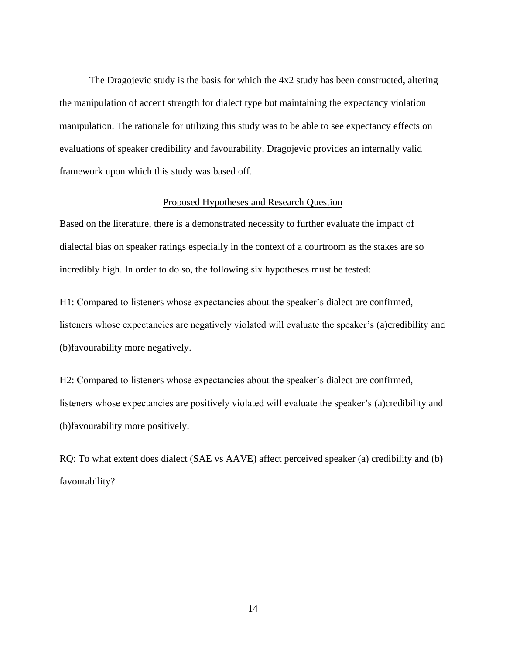The Dragojevic study is the basis for which the 4x2 study has been constructed, altering the manipulation of accent strength for dialect type but maintaining the expectancy violation manipulation. The rationale for utilizing this study was to be able to see expectancy effects on evaluations of speaker credibility and favourability. Dragojevic provides an internally valid framework upon which this study was based off.

#### Proposed Hypotheses and Research Question

<span id="page-18-0"></span>Based on the literature, there is a demonstrated necessity to further evaluate the impact of dialectal bias on speaker ratings especially in the context of a courtroom as the stakes are so incredibly high. In order to do so, the following six hypotheses must be tested:

H1: Compared to listeners whose expectancies about the speaker's dialect are confirmed, listeners whose expectancies are negatively violated will evaluate the speaker's (a)credibility and (b)favourability more negatively.

H2: Compared to listeners whose expectancies about the speaker's dialect are confirmed, listeners whose expectancies are positively violated will evaluate the speaker's (a)credibility and (b)favourability more positively.

RQ: To what extent does dialect (SAE vs AAVE) affect perceived speaker (a) credibility and (b) favourability?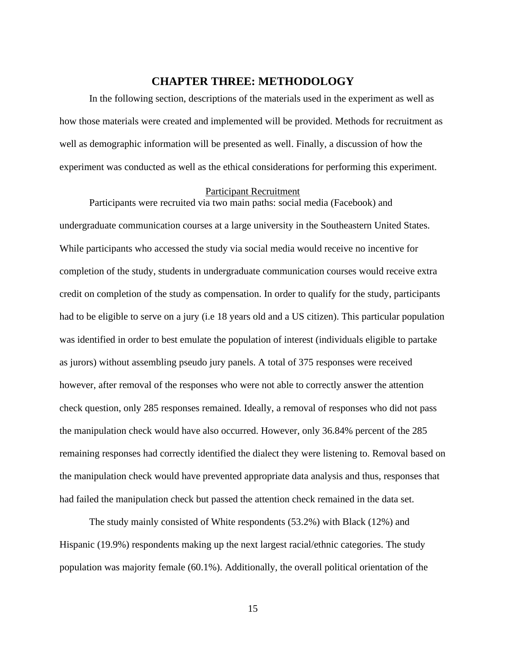#### **CHAPTER THREE: METHODOLOGY**

<span id="page-19-0"></span>In the following section, descriptions of the materials used in the experiment as well as how those materials were created and implemented will be provided. Methods for recruitment as well as demographic information will be presented as well. Finally, a discussion of how the experiment was conducted as well as the ethical considerations for performing this experiment.

#### <span id="page-19-1"></span>Participant Recruitment

Participants were recruited via two main paths: social media (Facebook) and undergraduate communication courses at a large university in the Southeastern United States. While participants who accessed the study via social media would receive no incentive for completion of the study, students in undergraduate communication courses would receive extra credit on completion of the study as compensation. In order to qualify for the study, participants had to be eligible to serve on a jury (i.e 18 years old and a US citizen). This particular population was identified in order to best emulate the population of interest (individuals eligible to partake as jurors) without assembling pseudo jury panels. A total of 375 responses were received however, after removal of the responses who were not able to correctly answer the attention check question, only 285 responses remained. Ideally, a removal of responses who did not pass the manipulation check would have also occurred. However, only 36.84% percent of the 285 remaining responses had correctly identified the dialect they were listening to. Removal based on the manipulation check would have prevented appropriate data analysis and thus, responses that had failed the manipulation check but passed the attention check remained in the data set.

The study mainly consisted of White respondents (53.2%) with Black (12%) and Hispanic (19.9%) respondents making up the next largest racial/ethnic categories. The study population was majority female (60.1%). Additionally, the overall political orientation of the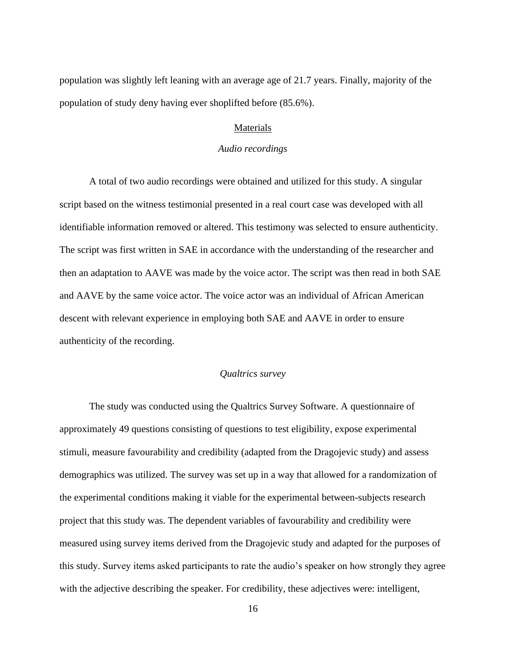<span id="page-20-0"></span>population was slightly left leaning with an average age of 21.7 years. Finally, majority of the population of study deny having ever shoplifted before (85.6%).

#### Materials

#### *Audio recordings*

<span id="page-20-1"></span>A total of two audio recordings were obtained and utilized for this study. A singular script based on the witness testimonial presented in a real court case was developed with all identifiable information removed or altered. This testimony was selected to ensure authenticity. The script was first written in SAE in accordance with the understanding of the researcher and then an adaptation to AAVE was made by the voice actor. The script was then read in both SAE and AAVE by the same voice actor. The voice actor was an individual of African American descent with relevant experience in employing both SAE and AAVE in order to ensure authenticity of the recording.

#### *Qualtrics survey*

<span id="page-20-2"></span>The study was conducted using the Qualtrics Survey Software. A questionnaire of approximately 49 questions consisting of questions to test eligibility, expose experimental stimuli, measure favourability and credibility (adapted from the Dragojevic study) and assess demographics was utilized. The survey was set up in a way that allowed for a randomization of the experimental conditions making it viable for the experimental between-subjects research project that this study was. The dependent variables of favourability and credibility were measured using survey items derived from the Dragojevic study and adapted for the purposes of this study. Survey items asked participants to rate the audio's speaker on how strongly they agree with the adjective describing the speaker. For credibility, these adjectives were: intelligent,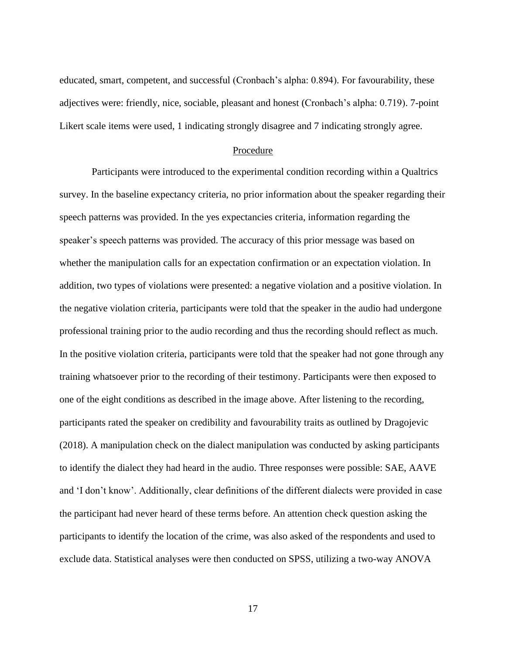educated, smart, competent, and successful (Cronbach's alpha: 0.894). For favourability, these adjectives were: friendly, nice, sociable, pleasant and honest (Cronbach's alpha: 0.719). 7-point Likert scale items were used, 1 indicating strongly disagree and 7 indicating strongly agree.

#### Procedure

<span id="page-21-0"></span>Participants were introduced to the experimental condition recording within a Qualtrics survey. In the baseline expectancy criteria, no prior information about the speaker regarding their speech patterns was provided. In the yes expectancies criteria, information regarding the speaker's speech patterns was provided. The accuracy of this prior message was based on whether the manipulation calls for an expectation confirmation or an expectation violation. In addition, two types of violations were presented: a negative violation and a positive violation. In the negative violation criteria, participants were told that the speaker in the audio had undergone professional training prior to the audio recording and thus the recording should reflect as much. In the positive violation criteria, participants were told that the speaker had not gone through any training whatsoever prior to the recording of their testimony. Participants were then exposed to one of the eight conditions as described in the image above. After listening to the recording, participants rated the speaker on credibility and favourability traits as outlined by Dragojevic (2018). A manipulation check on the dialect manipulation was conducted by asking participants to identify the dialect they had heard in the audio. Three responses were possible: SAE, AAVE and 'I don't know'. Additionally, clear definitions of the different dialects were provided in case the participant had never heard of these terms before. An attention check question asking the participants to identify the location of the crime, was also asked of the respondents and used to exclude data. Statistical analyses were then conducted on SPSS, utilizing a two-way ANOVA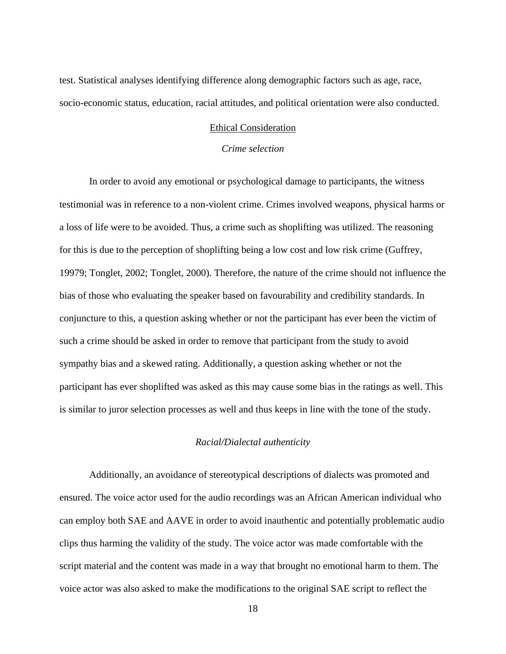<span id="page-22-0"></span>test. Statistical analyses identifying difference along demographic factors such as age, race, socio-economic status, education, racial attitudes, and political orientation were also conducted.

#### Ethical Consideration

#### *Crime selection*

<span id="page-22-1"></span>In order to avoid any emotional or psychological damage to participants, the witness testimonial was in reference to a non-violent crime. Crimes involved weapons, physical harms or a loss of life were to be avoided. Thus, a crime such as shoplifting was utilized. The reasoning for this is due to the perception of shoplifting being a low cost and low risk crime (Guffrey, 19979; Tonglet, 2002; Tonglet, 2000). Therefore, the nature of the crime should not influence the bias of those who evaluating the speaker based on favourability and credibility standards. In conjuncture to this, a question asking whether or not the participant has ever been the victim of such a crime should be asked in order to remove that participant from the study to avoid sympathy bias and a skewed rating. Additionally, a question asking whether or not the participant has ever shoplifted was asked as this may cause some bias in the ratings as well. This is similar to juror selection processes as well and thus keeps in line with the tone of the study.

#### *Racial/Dialectal authenticity*

<span id="page-22-2"></span>Additionally, an avoidance of stereotypical descriptions of dialects was promoted and ensured. The voice actor used for the audio recordings was an African American individual who can employ both SAE and AAVE in order to avoid inauthentic and potentially problematic audio clips thus harming the validity of the study. The voice actor was made comfortable with the script material and the content was made in a way that brought no emotional harm to them. The voice actor was also asked to make the modifications to the original SAE script to reflect the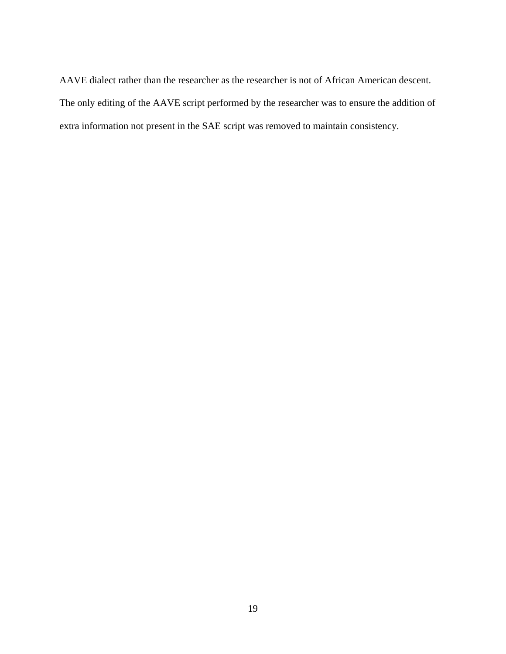AAVE dialect rather than the researcher as the researcher is not of African American descent. The only editing of the AAVE script performed by the researcher was to ensure the addition of extra information not present in the SAE script was removed to maintain consistency.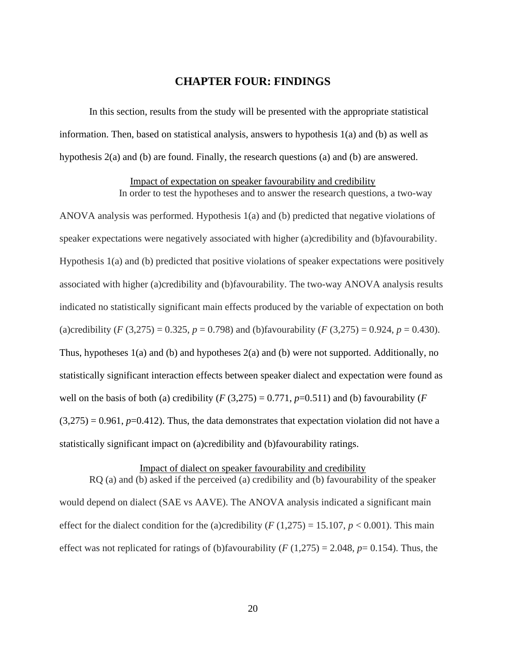#### **CHAPTER FOUR: FINDINGS**

<span id="page-24-0"></span>In this section, results from the study will be presented with the appropriate statistical information. Then, based on statistical analysis, answers to hypothesis 1(a) and (b) as well as hypothesis 2(a) and (b) are found. Finally, the research questions (a) and (b) are answered.

#### Impact of expectation on speaker favourability and credibility

<span id="page-24-1"></span>In order to test the hypotheses and to answer the research questions, a two-way ANOVA analysis was performed. Hypothesis 1(a) and (b) predicted that negative violations of speaker expectations were negatively associated with higher (a)credibility and (b)favourability. Hypothesis 1(a) and (b) predicted that positive violations of speaker expectations were positively associated with higher (a)credibility and (b)favourability. The two-way ANOVA analysis results indicated no statistically significant main effects produced by the variable of expectation on both (a)credibility  $(F (3, 275) = 0.325, p = 0.798)$  and (b)favourability  $(F (3, 275) = 0.924, p = 0.430)$ . Thus, hypotheses 1(a) and (b) and hypotheses 2(a) and (b) were not supported. Additionally, no statistically significant interaction effects between speaker dialect and expectation were found as well on the basis of both (a) credibility  $(F(3,275) = 0.771, p=0.511)$  and (b) favourability  $(F(3,275) = 0.771, p=0.511)$  $(3,275) = 0.961$ ,  $p=0.412$ ). Thus, the data demonstrates that expectation violation did not have a statistically significant impact on (a)credibility and (b)favourability ratings.

#### Impact of dialect on speaker favourability and credibility

<span id="page-24-2"></span>RQ (a) and (b) asked if the perceived (a) credibility and (b) favourability of the speaker would depend on dialect (SAE vs AAVE). The ANOVA analysis indicated a significant main effect for the dialect condition for the (a)credibility  $(F(1,275) = 15.107, p < 0.001)$ . This main effect was not replicated for ratings of (b)favourability ( $F(1,275) = 2.048$ ,  $p = 0.154$ ). Thus, the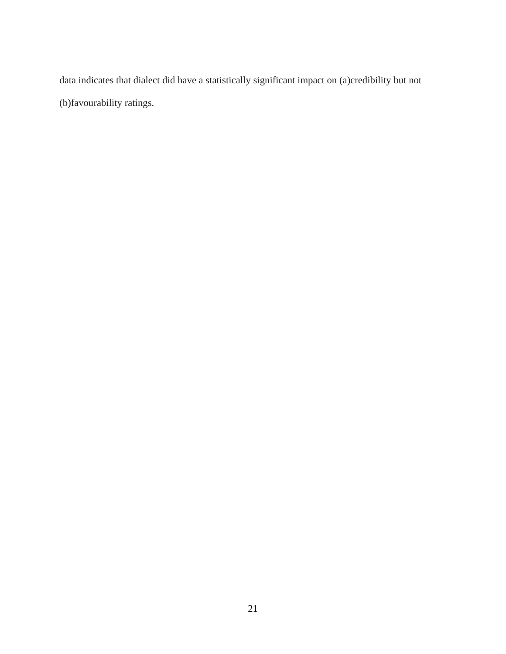data indicates that dialect did have a statistically significant impact on (a)credibility but not (b)favourability ratings.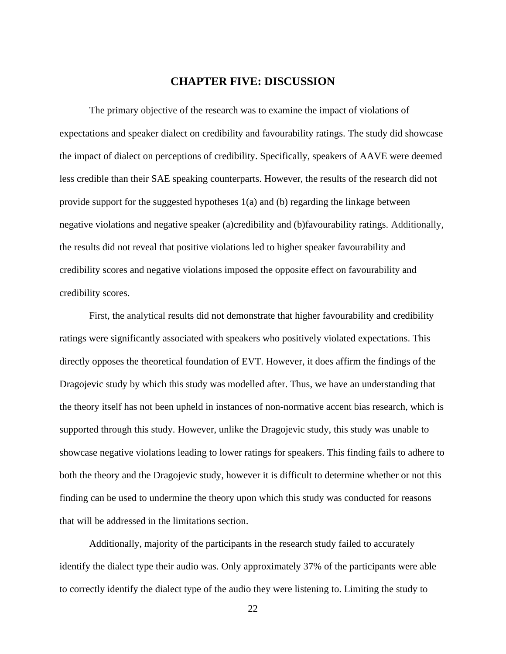#### **CHAPTER FIVE: DISCUSSION**

<span id="page-26-0"></span>The primary objective of the research was to examine the impact of violations of expectations and speaker dialect on credibility and favourability ratings. The study did showcase the impact of dialect on perceptions of credibility. Specifically, speakers of AAVE were deemed less credible than their SAE speaking counterparts. However, the results of the research did not provide support for the suggested hypotheses 1(a) and (b) regarding the linkage between negative violations and negative speaker (a)credibility and (b)favourability ratings. Additionally, the results did not reveal that positive violations led to higher speaker favourability and credibility scores and negative violations imposed the opposite effect on favourability and credibility scores.

First, the analytical results did not demonstrate that higher favourability and credibility ratings were significantly associated with speakers who positively violated expectations. This directly opposes the theoretical foundation of EVT. However, it does affirm the findings of the Dragojevic study by which this study was modelled after. Thus, we have an understanding that the theory itself has not been upheld in instances of non-normative accent bias research, which is supported through this study. However, unlike the Dragojevic study, this study was unable to showcase negative violations leading to lower ratings for speakers. This finding fails to adhere to both the theory and the Dragojevic study, however it is difficult to determine whether or not this finding can be used to undermine the theory upon which this study was conducted for reasons that will be addressed in the limitations section.

Additionally, majority of the participants in the research study failed to accurately identify the dialect type their audio was. Only approximately 37% of the participants were able to correctly identify the dialect type of the audio they were listening to. Limiting the study to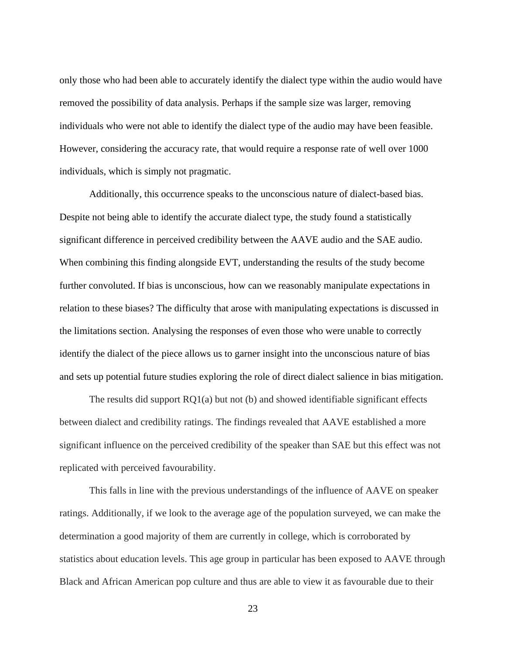only those who had been able to accurately identify the dialect type within the audio would have removed the possibility of data analysis. Perhaps if the sample size was larger, removing individuals who were not able to identify the dialect type of the audio may have been feasible. However, considering the accuracy rate, that would require a response rate of well over 1000 individuals, which is simply not pragmatic.

Additionally, this occurrence speaks to the unconscious nature of dialect-based bias. Despite not being able to identify the accurate dialect type, the study found a statistically significant difference in perceived credibility between the AAVE audio and the SAE audio. When combining this finding alongside EVT, understanding the results of the study become further convoluted. If bias is unconscious, how can we reasonably manipulate expectations in relation to these biases? The difficulty that arose with manipulating expectations is discussed in the limitations section. Analysing the responses of even those who were unable to correctly identify the dialect of the piece allows us to garner insight into the unconscious nature of bias and sets up potential future studies exploring the role of direct dialect salience in bias mitigation.

The results did support RQ1(a) but not (b) and showed identifiable significant effects between dialect and credibility ratings. The findings revealed that AAVE established a more significant influence on the perceived credibility of the speaker than SAE but this effect was not replicated with perceived favourability.

This falls in line with the previous understandings of the influence of AAVE on speaker ratings. Additionally, if we look to the average age of the population surveyed, we can make the determination a good majority of them are currently in college, which is corroborated by statistics about education levels. This age group in particular has been exposed to AAVE through Black and African American pop culture and thus are able to view it as favourable due to their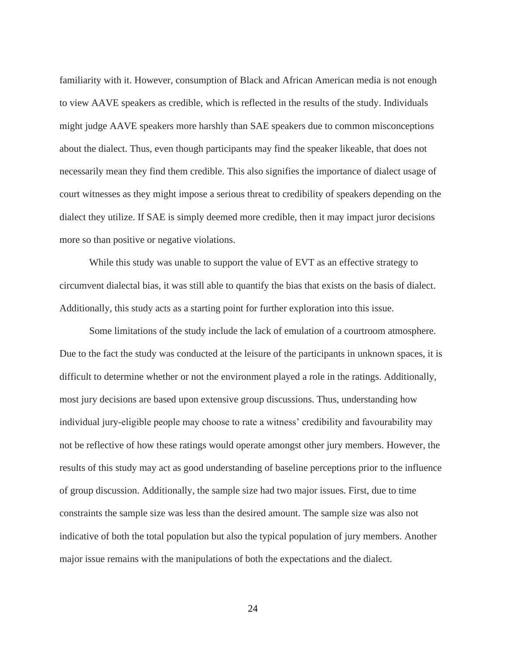familiarity with it. However, consumption of Black and African American media is not enough to view AAVE speakers as credible, which is reflected in the results of the study. Individuals might judge AAVE speakers more harshly than SAE speakers due to common misconceptions about the dialect. Thus, even though participants may find the speaker likeable, that does not necessarily mean they find them credible. This also signifies the importance of dialect usage of court witnesses as they might impose a serious threat to credibility of speakers depending on the dialect they utilize. If SAE is simply deemed more credible, then it may impact juror decisions more so than positive or negative violations.

While this study was unable to support the value of EVT as an effective strategy to circumvent dialectal bias, it was still able to quantify the bias that exists on the basis of dialect. Additionally, this study acts as a starting point for further exploration into this issue.

Some limitations of the study include the lack of emulation of a courtroom atmosphere. Due to the fact the study was conducted at the leisure of the participants in unknown spaces, it is difficult to determine whether or not the environment played a role in the ratings. Additionally, most jury decisions are based upon extensive group discussions. Thus, understanding how individual jury-eligible people may choose to rate a witness' credibility and favourability may not be reflective of how these ratings would operate amongst other jury members. However, the results of this study may act as good understanding of baseline perceptions prior to the influence of group discussion. Additionally, the sample size had two major issues. First, due to time constraints the sample size was less than the desired amount. The sample size was also not indicative of both the total population but also the typical population of jury members. Another major issue remains with the manipulations of both the expectations and the dialect.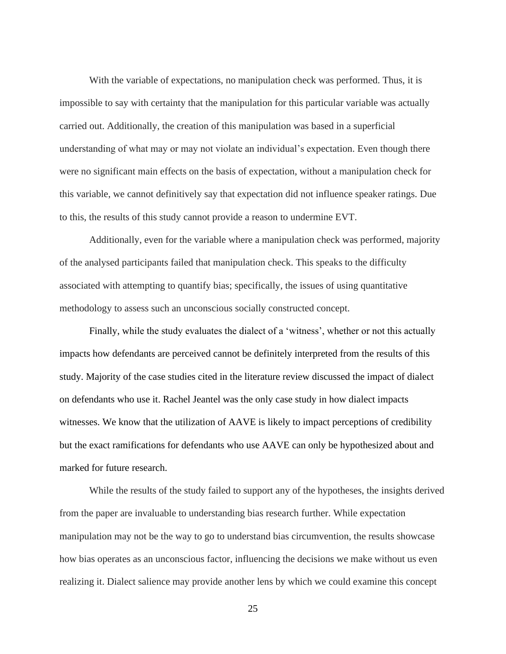With the variable of expectations, no manipulation check was performed. Thus, it is impossible to say with certainty that the manipulation for this particular variable was actually carried out. Additionally, the creation of this manipulation was based in a superficial understanding of what may or may not violate an individual's expectation. Even though there were no significant main effects on the basis of expectation, without a manipulation check for this variable, we cannot definitively say that expectation did not influence speaker ratings. Due to this, the results of this study cannot provide a reason to undermine EVT.

Additionally, even for the variable where a manipulation check was performed, majority of the analysed participants failed that manipulation check. This speaks to the difficulty associated with attempting to quantify bias; specifically, the issues of using quantitative methodology to assess such an unconscious socially constructed concept.

Finally, while the study evaluates the dialect of a 'witness', whether or not this actually impacts how defendants are perceived cannot be definitely interpreted from the results of this study. Majority of the case studies cited in the literature review discussed the impact of dialect on defendants who use it. Rachel Jeantel was the only case study in how dialect impacts witnesses. We know that the utilization of AAVE is likely to impact perceptions of credibility but the exact ramifications for defendants who use AAVE can only be hypothesized about and marked for future research.

While the results of the study failed to support any of the hypotheses, the insights derived from the paper are invaluable to understanding bias research further. While expectation manipulation may not be the way to go to understand bias circumvention, the results showcase how bias operates as an unconscious factor, influencing the decisions we make without us even realizing it. Dialect salience may provide another lens by which we could examine this concept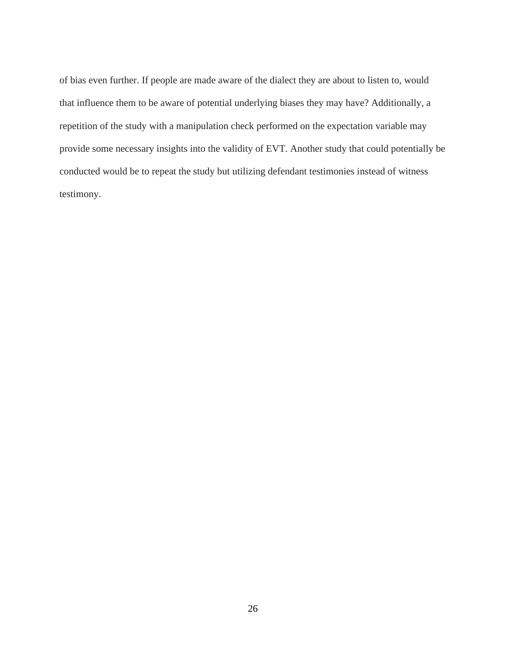of bias even further. If people are made aware of the dialect they are about to listen to, would that influence them to be aware of potential underlying biases they may have? Additionally, a repetition of the study with a manipulation check performed on the expectation variable may provide some necessary insights into the validity of EVT. Another study that could potentially be conducted would be to repeat the study but utilizing defendant testimonies instead of witness testimony.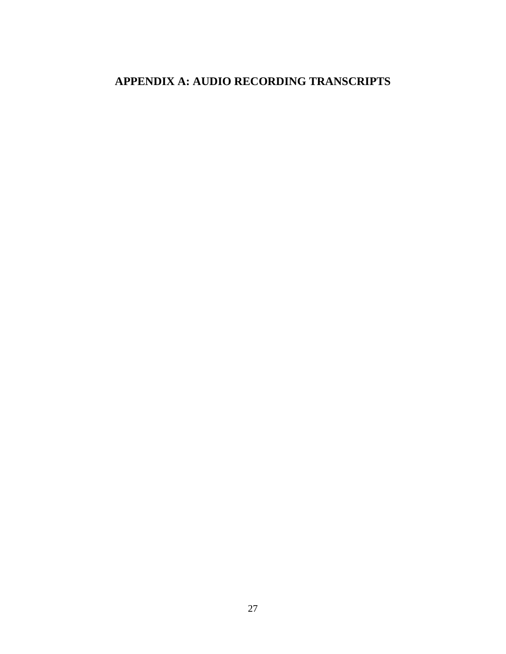## <span id="page-31-0"></span>**APPENDIX A: AUDIO RECORDING TRANSCRIPTS**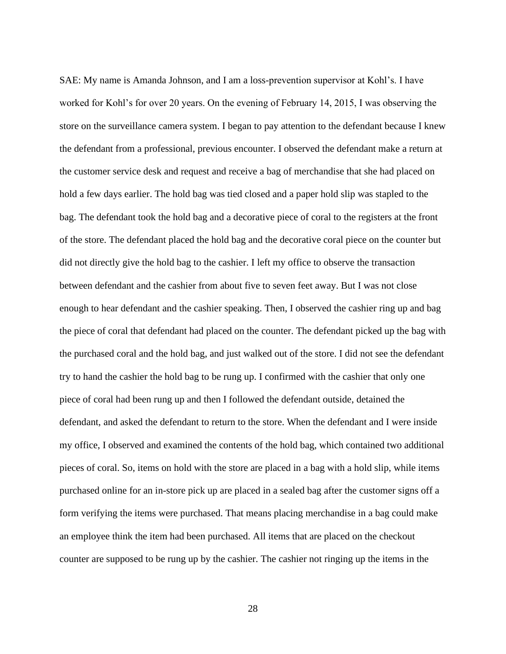SAE: My name is Amanda Johnson, and I am a loss-prevention supervisor at Kohl's. I have worked for Kohl's for over 20 years. On the evening of February 14, 2015, I was observing the store on the surveillance camera system. I began to pay attention to the defendant because I knew the defendant from a professional, previous encounter. I observed the defendant make a return at the customer service desk and request and receive a bag of merchandise that she had placed on hold a few days earlier. The hold bag was tied closed and a paper hold slip was stapled to the bag. The defendant took the hold bag and a decorative piece of coral to the registers at the front of the store. The defendant placed the hold bag and the decorative coral piece on the counter but did not directly give the hold bag to the cashier. I left my office to observe the transaction between defendant and the cashier from about five to seven feet away. But I was not close enough to hear defendant and the cashier speaking. Then, I observed the cashier ring up and bag the piece of coral that defendant had placed on the counter. The defendant picked up the bag with the purchased coral and the hold bag, and just walked out of the store. I did not see the defendant try to hand the cashier the hold bag to be rung up. I confirmed with the cashier that only one piece of coral had been rung up and then I followed the defendant outside, detained the defendant, and asked the defendant to return to the store. When the defendant and I were inside my office, I observed and examined the contents of the hold bag, which contained two additional pieces of coral. So, items on hold with the store are placed in a bag with a hold slip, while items purchased online for an in-store pick up are placed in a sealed bag after the customer signs off a form verifying the items were purchased. That means placing merchandise in a bag could make an employee think the item had been purchased. All items that are placed on the checkout counter are supposed to be rung up by the cashier. The cashier not ringing up the items in the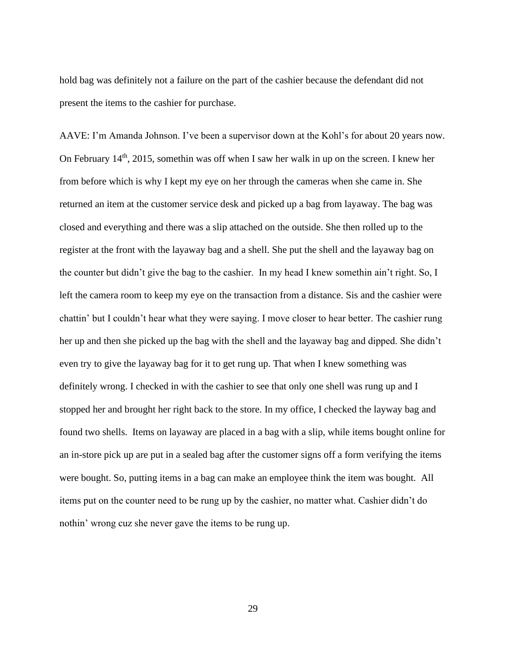hold bag was definitely not a failure on the part of the cashier because the defendant did not present the items to the cashier for purchase.

AAVE: I'm Amanda Johnson. I've been a supervisor down at the Kohl's for about 20 years now. On February  $14<sup>th</sup>$ , 2015, somethin was off when I saw her walk in up on the screen. I knew her from before which is why I kept my eye on her through the cameras when she came in. She returned an item at the customer service desk and picked up a bag from layaway. The bag was closed and everything and there was a slip attached on the outside. She then rolled up to the register at the front with the layaway bag and a shell. She put the shell and the layaway bag on the counter but didn't give the bag to the cashier. In my head I knew somethin ain't right. So, I left the camera room to keep my eye on the transaction from a distance. Sis and the cashier were chattin' but I couldn't hear what they were saying. I move closer to hear better. The cashier rung her up and then she picked up the bag with the shell and the layaway bag and dipped. She didn't even try to give the layaway bag for it to get rung up. That when I knew something was definitely wrong. I checked in with the cashier to see that only one shell was rung up and I stopped her and brought her right back to the store. In my office, I checked the layway bag and found two shells. Items on layaway are placed in a bag with a slip, while items bought online for an in-store pick up are put in a sealed bag after the customer signs off a form verifying the items were bought. So, putting items in a bag can make an employee think the item was bought. All items put on the counter need to be rung up by the cashier, no matter what. Cashier didn't do nothin' wrong cuz she never gave the items to be rung up.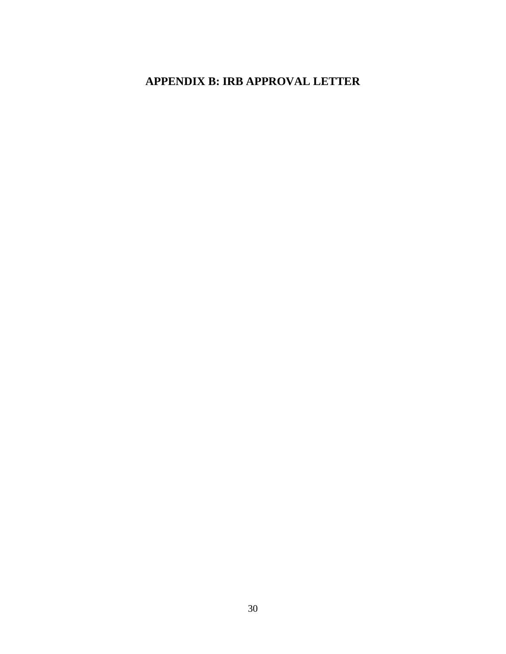## <span id="page-34-0"></span>**APPENDIX B: IRB APPROVAL LETTER**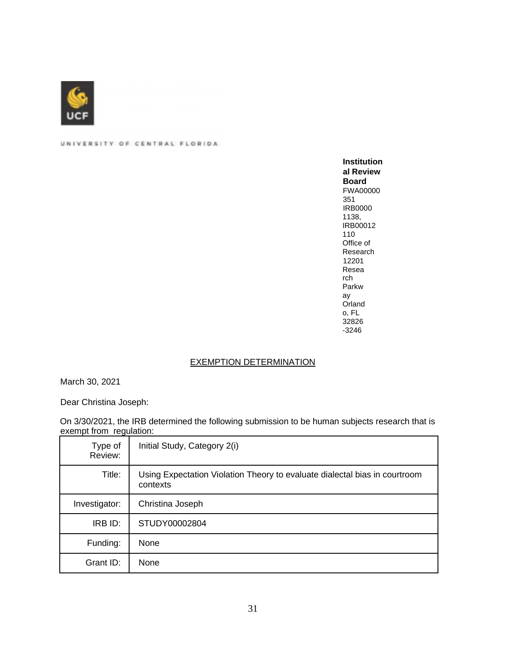

UNIVERSITY OF CENTRAL FLORIDA

**Institution al Review Board**  FWA00000 351 IRB0000 1138, IRB00012 110 Office of Research 12201 Resea rch Parkw ay Orland o, FL 32826 -3246

#### EXEMPTION DETERMINATION

March 30, 2021

Dear Christina Joseph:

On 3/30/2021, the IRB determined the following submission to be human subjects research that is exempt from regulation:

| Type of<br>Review: | Initial Study, Category 2(i)                                                           |
|--------------------|----------------------------------------------------------------------------------------|
| Title:             | Using Expectation Violation Theory to evaluate dialectal bias in courtroom<br>contexts |
| Investigator:      | Christina Joseph                                                                       |
| IRB ID:            | STUDY00002804                                                                          |
| Funding:           | None                                                                                   |
| Grant ID:          | None                                                                                   |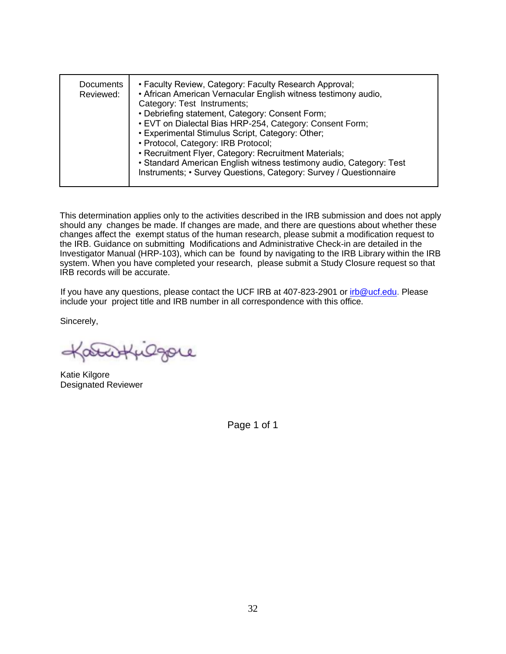| Documents<br>Reviewed: | • Faculty Review, Category: Faculty Research Approval;<br>• African American Vernacular English witness testimony audio,<br>Category: Test Instruments;<br>• Debriefing statement, Category: Consent Form;<br>• EVT on Dialectal Bias HRP-254, Category: Consent Form;<br>• Experimental Stimulus Script, Category: Other;<br>• Protocol, Category: IRB Protocol;<br>• Recruitment Flyer, Category: Recruitment Materials;<br>• Standard American English witness testimony audio, Category: Test<br>Instruments; • Survey Questions, Category: Survey / Questionnaire |
|------------------------|------------------------------------------------------------------------------------------------------------------------------------------------------------------------------------------------------------------------------------------------------------------------------------------------------------------------------------------------------------------------------------------------------------------------------------------------------------------------------------------------------------------------------------------------------------------------|
|------------------------|------------------------------------------------------------------------------------------------------------------------------------------------------------------------------------------------------------------------------------------------------------------------------------------------------------------------------------------------------------------------------------------------------------------------------------------------------------------------------------------------------------------------------------------------------------------------|

This determination applies only to the activities described in the IRB submission and does not apply should any changes be made. If changes are made, and there are questions about whether these changes affect the exempt status of the human research, please submit a modification request to the IRB. Guidance on submitting Modifications and Administrative Check-in are detailed in the Investigator Manual (HRP-103), which can be found by navigating to the IRB Library within the IRB system. When you have completed your research, please submit a Study Closure request so that IRB records will be accurate.

If you have any questions, please contact the UCF IRB at 407-823-2901 or irb@ucf.edu. Please include your project title and IRB number in all correspondence with this office.

Sincerely,

Ogore

Katie Kilgore Designated Reviewer

Page 1 of 1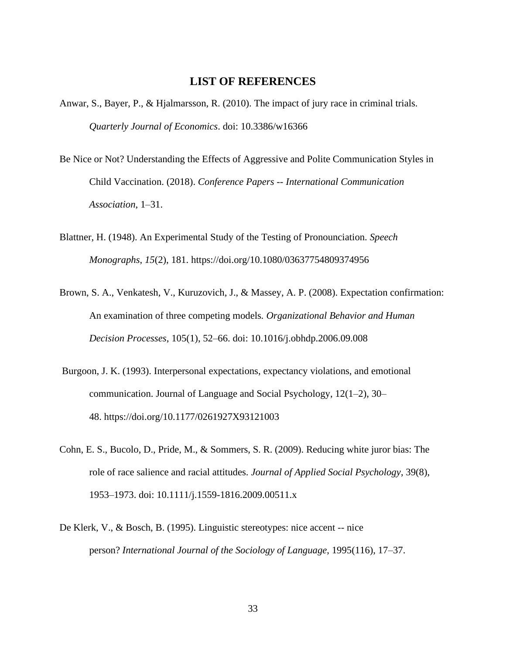#### **LIST OF REFERENCES**

- <span id="page-37-0"></span>Anwar, S., Bayer, P., & Hjalmarsson, R. (2010). The impact of jury race in criminal trials. *Quarterly Journal of Economics*. doi: 10.3386/w16366
- Be Nice or Not? Understanding the Effects of Aggressive and Polite Communication Styles in Child Vaccination. (2018). *Conference Papers -- International Communication Association*, 1–31.
- Blattner, H. (1948). An Experimental Study of the Testing of Pronounciation. *Speech Monographs*, *15*(2), 181. https://doi.org/10.1080/03637754809374956
- Brown, S. A., Venkatesh, V., Kuruzovich, J., & Massey, A. P. (2008). Expectation confirmation: An examination of three competing models*. Organizational Behavior and Human Decision Processes*, 105(1), 52–66. doi: 10.1016/j.obhdp.2006.09.008
- Burgoon, J. K. (1993). Interpersonal expectations, expectancy violations, and emotional communication. Journal of Language and Social Psychology, 12(1–2), 30– 48. <https://doi.org/10.1177/0261927X93121003>
- Cohn, E. S., Bucolo, D., Pride, M., & Sommers, S. R. (2009). Reducing white juror bias: The role of race salience and racial attitudes. *Journal of Applied Social Psychology*, 39(8), 1953–1973. doi: 10.1111/j.1559-1816.2009.00511.x
- De Klerk, V., & Bosch, B. (1995). Linguistic stereotypes: nice accent -- nice person? *International Journal of the Sociology of Language*, 1995(116), 17–37.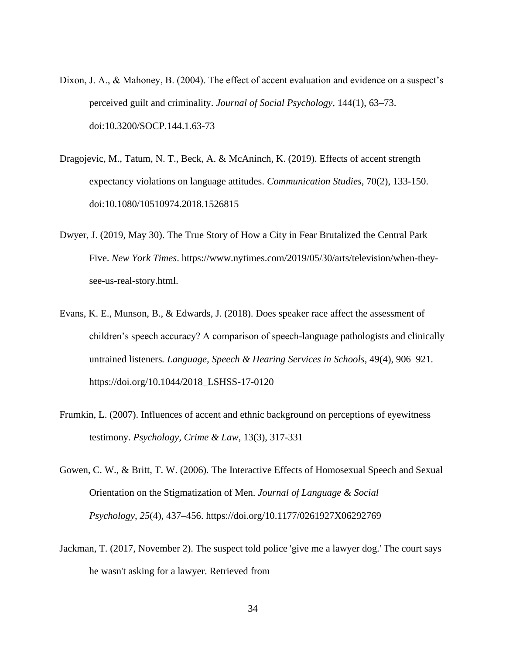- Dixon, J. A., & Mahoney, B. (2004). The effect of accent evaluation and evidence on a suspect's perceived guilt and criminality. *Journal of Social Psychology*, 144(1), 63–73. doi:10.3200/SOCP.144.1.63-73
- Dragojevic, M., Tatum, N. T., Beck, A. & McAninch, K. (2019). Effects of accent strength expectancy violations on language attitudes. *Communication Studies*, 70(2), 133-150. doi:10.1080/10510974.2018.1526815
- Dwyer, J. (2019, May 30). The True Story of How a City in Fear Brutalized the Central Park Five. *New York Times*. https://www.nytimes.com/2019/05/30/arts/television/when-theysee-us-real-story.html.
- Evans, K. E., Munson, B., & Edwards, J. (2018). Does speaker race affect the assessment of children's speech accuracy? A comparison of speech-language pathologists and clinically untrained listeners*. Language, Speech & Hearing Services in Schools*, 49(4), 906–921. https://doi.org/10.1044/2018\_LSHSS-17-0120
- Frumkin, L. (2007). Influences of accent and ethnic background on perceptions of eyewitness testimony. *Psychology, Crime & Law*, 13(3), 317-331
- Gowen, C. W., & Britt, T. W. (2006). The Interactive Effects of Homosexual Speech and Sexual Orientation on the Stigmatization of Men. *Journal of Language & Social Psychology*, *25*(4), 437–456. https://doi.org/10.1177/0261927X06292769
- Jackman, T. (2017, November 2). The suspect told police 'give me a lawyer dog.' The court says he wasn't asking for a lawyer. Retrieved from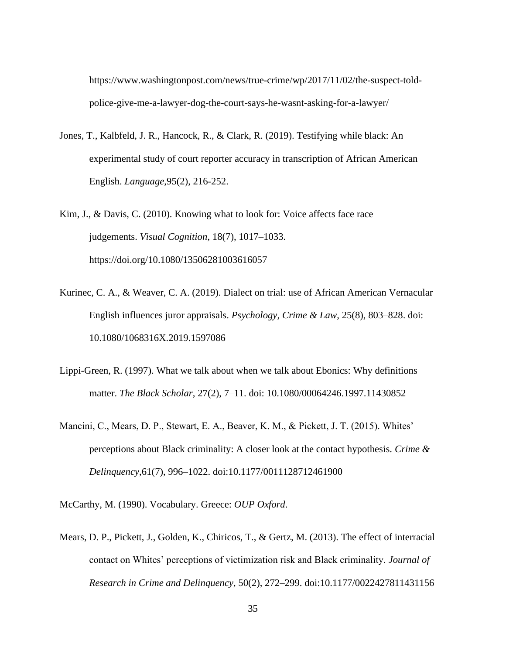https://www.washingtonpost.com/news/true-crime/wp/2017/11/02/the-suspect-toldpolice-give-me-a-lawyer-dog-the-court-says-he-wasnt-asking-for-a-lawyer/

- Jones, T., Kalbfeld, J. R., Hancock, R., & Clark, R. (2019). Testifying while black: An experimental study of court reporter accuracy in transcription of African American English. *Language*,95(2), 216-252.
- Kim, J., & Davis, C. (2010). Knowing what to look for: Voice affects face race judgements. *Visual Cognition*, 18(7), 1017–1033. https://doi.org/10.1080/13506281003616057
- Kurinec, C. A., & Weaver, C. A. (2019). Dialect on trial: use of African American Vernacular English influences juror appraisals. *Psychology, Crime & Law*, 25(8), 803–828. doi: 10.1080/1068316X.2019.1597086
- Lippi-Green, R. (1997). What we talk about when we talk about Ebonics: Why definitions matter. *The Black Scholar*, 27(2), 7–11. doi: 10.1080/00064246.1997.11430852
- Mancini, C., Mears, D. P., Stewart, E. A., Beaver, K. M., & Pickett, J. T. (2015). Whites' perceptions about Black criminality: A closer look at the contact hypothesis. *Crime & Delinquency*,61(7), 996–1022. doi:10.1177/0011128712461900

McCarthy, M. (1990). Vocabulary. Greece: *OUP Oxford*.

Mears, D. P., Pickett, J., Golden, K., Chiricos, T., & Gertz, M. (2013). The effect of interracial contact on Whites' perceptions of victimization risk and Black criminality. *Journal of Research in Crime and Delinquency*, 50(2), 272–299. doi:10.1177/0022427811431156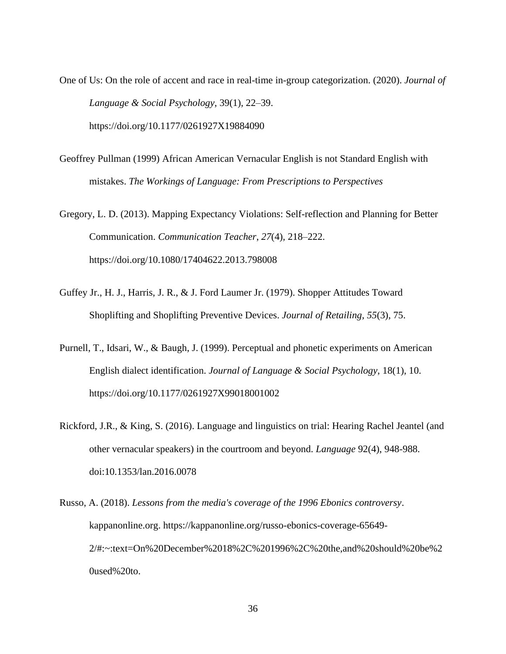One of Us: On the role of accent and race in real-time in-group categorization. (2020). *Journal of Language & Social Psychology*, 39(1), 22–39. <https://doi.org/10.1177/0261927X19884090>

Geoffrey Pullman (1999) African American Vernacular English is not Standard English with mistakes. *[The Workings of Language: From Prescriptions to Perspectives](https://acawiki.org/index.php?title=Special:BrowseData/Summary&Journal=The_Workings_of_Language:_From_Prescriptions_to_Perspectives)*

Gregory, L. D. (2013). Mapping Expectancy Violations: Self-reflection and Planning for Better Communication. *Communication Teacher*, *27*(4), 218–222. https://doi.org/10.1080/17404622.2013.798008

- Guffey Jr., H. J., Harris, J. R., & J. Ford Laumer Jr. (1979). Shopper Attitudes Toward Shoplifting and Shoplifting Preventive Devices. *Journal of Retailing*, *55*(3), 75.
- Purnell, T., Idsari, W., & Baugh, J. (1999). Perceptual and phonetic experiments on American English dialect identification. *Journal of Language & Social Psychology*, 18(1), 10. https://doi.org/10.1177/0261927X99018001002
- Rickford, J.R., & King, S. (2016). Language and linguistics on trial: Hearing Rachel Jeantel (and other vernacular speakers) in the courtroom and beyond. *Language* 92(4), 948-988. doi:10.1353/lan.2016.0078
- Russo, A. (2018). *Lessons from the media's coverage of the 1996 Ebonics controversy*. kappanonline.org. https://kappanonline.org/russo-ebonics-coverage-65649- 2/#:~:text=On%20December%2018%2C%201996%2C%20the,and%20should%20be%2  $0$ used% $20$ to.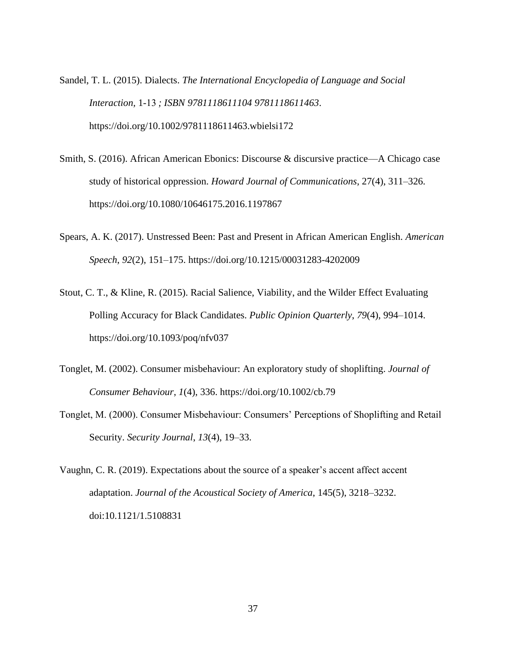- Sandel, T. L. (2015). Dialects. *The International Encyclopedia of Language and Social Interaction,* 1-13 *; ISBN 9781118611104 9781118611463*. https://doi.org/10.1002/9781118611463.wbielsi172
- Smith, S. (2016). African American Ebonics: Discourse & discursive practice—A Chicago case study of historical oppression. *Howard Journal of Communications*, 27(4), 311–326. <https://doi.org/10.1080/10646175.2016.1197867>
- Spears, A. K. (2017). Unstressed Been: Past and Present in African American English. *American Speech*, *92*(2), 151–175.<https://doi.org/10.1215/00031283-4202009>
- Stout, C. T., & Kline, R. (2015). Racial Salience, Viability, and the Wilder Effect Evaluating Polling Accuracy for Black Candidates. *Public Opinion Quarterly*, *79*(4), 994–1014. https://doi.org/10.1093/poq/nfv037
- Tonglet, M. (2002). Consumer misbehaviour: An exploratory study of shoplifting. *Journal of Consumer Behaviour*, *1*(4), 336. https://doi.org/10.1002/cb.79
- Tonglet, M. (2000). Consumer Misbehaviour: Consumers' Perceptions of Shoplifting and Retail Security. *Security Journal*, *13*(4), 19–33.
- Vaughn, C. R. (2019). Expectations about the source of a speaker's accent affect accent adaptation. *Journal of the Acoustical Society of America*, 145(5), 3218–3232. [doi:10.1121/1.5108831](https://doi-org.ezproxy.net.ucf.edu/10.1121/1.5108831)